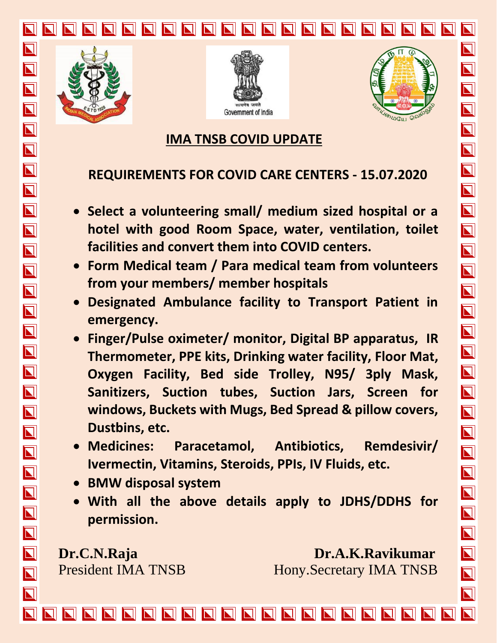







 $\overline{\mathbf{N}}$ 

 $\overline{\bf N}$ 

 $\overline{\bm{\mathsf{N}}}$ 

 $\overline{\mathbf{N}}$ 

 $\overline{\mathbf{N}}$ 

 $\overline{\mathbf{N}}$ 

 $\overline{\mathbf{N}}$ 

 $\overline{\mathbf{N}}$ 

 $\overline{\mathbf{N}}$ 

 $\overline{\mathbf{N}}$ 

NNNN

 $\overline{\mathbf{N}}$ 

 $\overline{\mathbf{N}}$ 

 $\overline{\blacksquare}$ 

 $\overline{\mathbf{N}}$ 

 $\overline{\mathbf{N}}$ 

 $\blacksquare$ 

 $\overline{\mathbf{N}}$ 

NN<br>NN

 $\overline{\mathbf{N}}$ 

 $\overline{\mathbf{N}}$ 

 $\overline{\mathbf{N}}$ 

 $\overline{\mathbf{N}}$ 

 $\overline{\mathbf{N}}$ 

# **IMA TNSB COVID UPDATE**

# **REQUIREMENTS FOR COVID CARE CENTERS - 15.07.2020**

- **Select a volunteering small/ medium sized hospital or a hotel with good Room Space, water, ventilation, toilet facilities and convert them into COVID centers.**
- **Form Medical team / Para medical team from volunteers from your members/ member hospitals**
- **Designated Ambulance facility to Transport Patient in emergency.**
- **Finger/Pulse oximeter/ monitor, Digital BP apparatus, IR Thermometer, PPE kits, Drinking water facility, Floor Mat, Oxygen Facility, Bed side Trolley, N95/ 3ply Mask, Sanitizers, Suction tubes, Suction Jars, Screen for windows, Buckets with Mugs, Bed Spread & pillow covers, Dustbins, etc.**
- **Medicines: Paracetamol, Antibiotics, Remdesivir/ Ivermectin, Vitamins, Steroids, PPIs, IV Fluids, etc.**
- **BMW disposal system**
- **With all the above details apply to JDHS/DDHS for permission.**

**Dr.C.N.Raja Dr.A.K.Ravikumar** President IMA TNSB Hony.Secretary IMA TNSB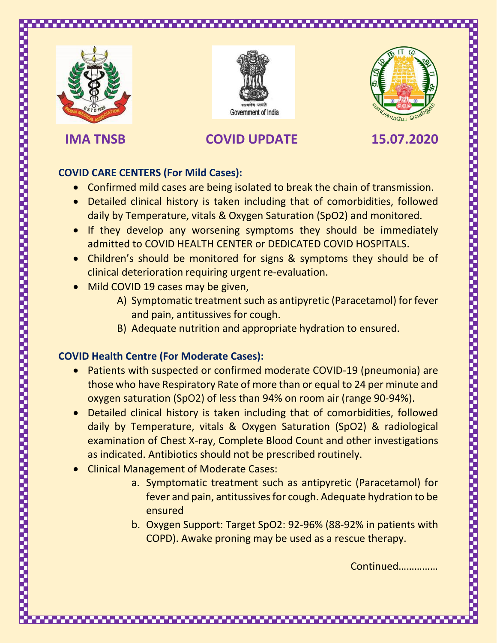





# **IMA TNSB COVID UPDATE 15.07.2020**

### **COVID CARE CENTERS (For Mild Cases):**

- Confirmed mild cases are being isolated to break the chain of transmission.
- Detailed clinical history is taken including that of comorbidities, followed daily by Temperature, vitals & Oxygen Saturation (SpO2) and monitored.
- If they develop any worsening symptoms they should be immediately admitted to COVID HEALTH CENTER or DEDICATED COVID HOSPITALS.
- Children's should be monitored for signs & symptoms they should be of clinical deterioration requiring urgent re-evaluation.
- Mild COVID 19 cases may be given,
	- A) Symptomatic treatment such as antipyretic (Paracetamol) for fever and pain, antitussives for cough.
	- B) Adequate nutrition and appropriate hydration to ensured.

### **COVID Health Centre (For Moderate Cases):**

- Patients with suspected or confirmed moderate COVID-19 (pneumonia) are those who have Respiratory Rate of more than or equal to 24 per minute and oxygen saturation (SpO2) of less than 94% on room air (range 90-94%).
- Detailed clinical history is taken including that of comorbidities, followed daily by Temperature, vitals & Oxygen Saturation (SpO2) & radiological examination of Chest X-ray, Complete Blood Count and other investigations as indicated. Antibiotics should not be prescribed routinely.
- Clinical Management of Moderate Cases:
	- a. Symptomatic treatment such as antipyretic (Paracetamol) for fever and pain, antitussives for cough. Adequate hydration to be ensured
	- b. Oxygen Support: Target SpO2: 92-96% (88-92% in patients with COPD). Awake proning may be used as a rescue therapy.

Continued……………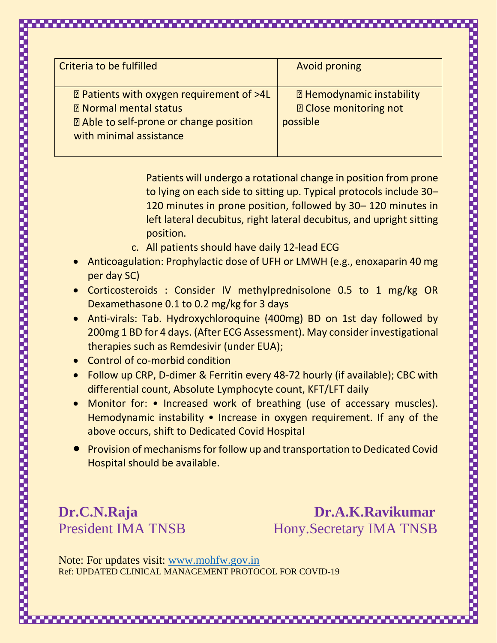| Criteria to be fulfilled                            | <b>Avoid proning</b>             |
|-----------------------------------------------------|----------------------------------|
|                                                     |                                  |
| <b>I Patients with oxygen requirement of &gt;4L</b> | <b>E</b> Hemodynamic instability |
| <b>2 Normal mental status</b>                       | <b>2 Close monitoring not</b>    |
| <b>E</b> Able to self-prone or change position      | possible                         |
| with minimal assistance                             |                                  |
|                                                     |                                  |
|                                                     |                                  |

Patients will undergo a rotational change in position from prone to lying on each side to sitting up. Typical protocols include 30– 120 minutes in prone position, followed by 30– 120 minutes in left lateral decubitus, right lateral decubitus, and upright sitting position.

- c. All patients should have daily 12-lead ECG
- Anticoagulation: Prophylactic dose of UFH or LMWH (e.g., enoxaparin 40 mg per day SC)
- Corticosteroids : Consider IV methylprednisolone 0.5 to 1 mg/kg OR Dexamethasone 0.1 to 0.2 mg/kg for 3 days
- Anti-virals: Tab. Hydroxychloroquine (400mg) BD on 1st day followed by 200mg 1 BD for 4 days. (After ECG Assessment). May consider investigational therapies such as Remdesivir (under EUA);
- Control of co-morbid condition

- Follow up CRP, D-dimer & Ferritin every 48-72 hourly (if available); CBC with differential count, Absolute Lymphocyte count, KFT/LFT daily
- Monitor for: Increased work of breathing (use of accessary muscles). Hemodynamic instability • Increase in oxygen requirement. If any of the above occurs, shift to Dedicated Covid Hospital
- Provision of mechanisms for follow up and transportation to Dedicated Covid Hospital should be available.

**Dr.C.N.Raja Dr.A.K.Ravikumar** President IMA TNSB Hony.Secretary IMA TNSB

Note: For updates visit: [www.mohfw.gov.in](http://www.mohfw.gov.in/) Ref: UPDATED CLINICAL MANAGEMENT PROTOCOL FOR COVID-19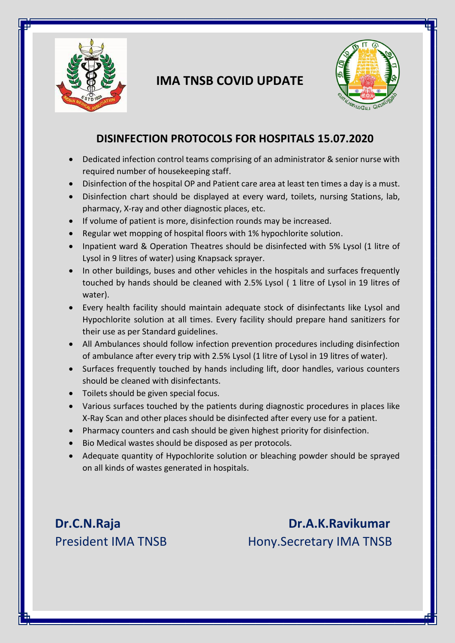

# **IMA TNSB COVID UPDATE**



### **DISINFECTION PROTOCOLS FOR HOSPITALS 15.07.2020**

- Dedicated infection control teams comprising of an administrator & senior nurse with required number of housekeeping staff.
- Disinfection of the hospital OP and Patient care area at least ten times a day is a must.
- Disinfection chart should be displayed at every ward, toilets, nursing Stations, lab, pharmacy, X-ray and other diagnostic places, etc.
- If volume of patient is more, disinfection rounds may be increased.
- Regular wet mopping of hospital floors with 1% hypochlorite solution.
- Inpatient ward & Operation Theatres should be disinfected with 5% Lysol (1 litre of Lysol in 9 litres of water) using Knapsack sprayer.
- In other buildings, buses and other vehicles in the hospitals and surfaces frequently touched by hands should be cleaned with 2.5% Lysol ( 1 litre of Lysol in 19 litres of water).
- Every health facility should maintain adequate stock of disinfectants like Lysol and Hypochlorite solution at all times. Every facility should prepare hand sanitizers for their use as per Standard guidelines.
- All Ambulances should follow infection prevention procedures including disinfection of ambulance after every trip with 2.5% Lysol (1 litre of Lysol in 19 litres of water).
- Surfaces frequently touched by hands including lift, door handles, various counters should be cleaned with disinfectants.
- Toilets should be given special focus.
- Various surfaces touched by the patients during diagnostic procedures in places like X-Ray Scan and other places should be disinfected after every use for a patient.
- Pharmacy counters and cash should be given highest priority for disinfection.
- Bio Medical wastes should be disposed as per protocols.
- Adequate quantity of Hypochlorite solution or bleaching powder should be sprayed on all kinds of wastes generated in hospitals.

**Dr.C.N.Raja Dr.A.K.Ravikumar** President IMA TNSB Hony.Secretary IMA TNSB